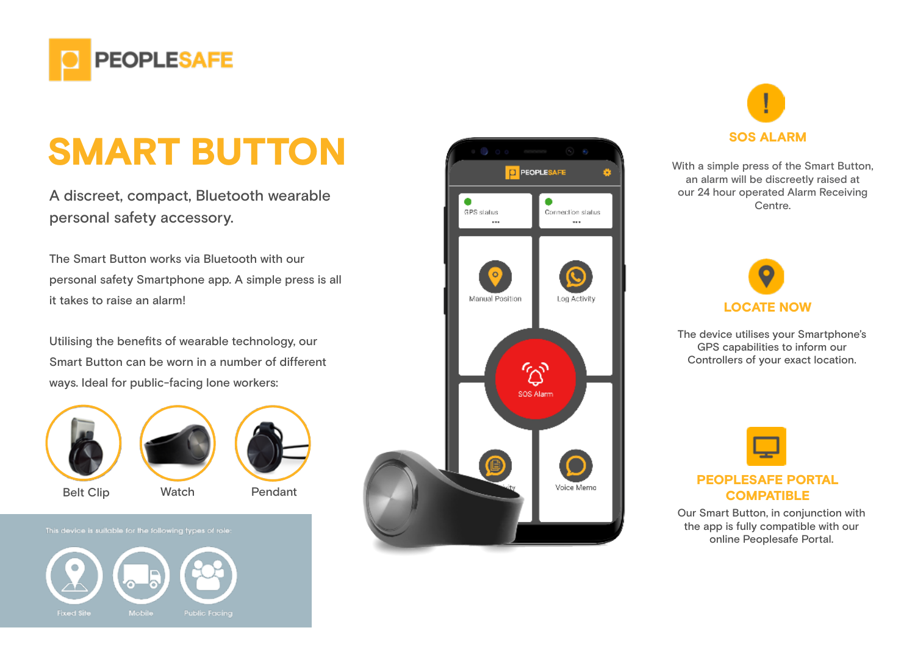

## SMART BUTTON BEFORE SOS ALARM SOS ALARM

A discreet, compact, Bluetooth wearable personal safety accessory.

The Smart Button works via Bluetooth with our personal safety Smartphone app. A simple press is all it takes to raise an alarm!

Utilising the benefits of wearable technology, our Smart Button can be worn in a number of different ways. Ideal for public-facing lone workers:





Belt Clip Watch Pendant



This device is suitable for the following types of role:







an alarm will be discreetly raised at our 24 hour operated Alarm Receiving Centre.



The device utilises your Smartphone's GPS capabilities to inform our Controllers of your exact location.



## PEOPLESAFE PORTAL **COMPATIBLE**

Our Smart Button, in conjunction with the app is fully compatible with our online Peoplesafe Portal.